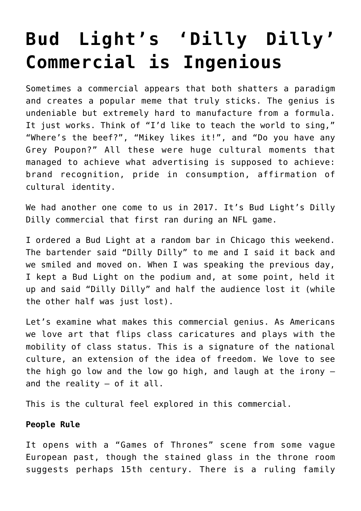## **[Bud Light's 'Dilly Dilly'](https://intellectualtakeout.org/2017/12/bud-lights-dilly-dilly-commercial-is-ingenious/) [Commercial is Ingenious](https://intellectualtakeout.org/2017/12/bud-lights-dilly-dilly-commercial-is-ingenious/)**

Sometimes a commercial appears that both shatters a paradigm and creates a popular meme that truly sticks. The genius is undeniable but extremely hard to manufacture from a formula. It just works. Think of "I'd like to teach the world to sing," "Where's the beef?", "Mikey likes it!", and "Do you have any Grey Poupon?" All these were huge cultural moments that managed to achieve what advertising is supposed to achieve: brand recognition, pride in consumption, affirmation of cultural identity.

We had another one come to us in 2017. It's Bud Light's Dilly Dilly commercial that first ran during an NFL game.

I ordered a Bud Light at a random bar in Chicago this weekend. The bartender said "Dilly Dilly" to me and I said it back and we smiled and moved on. When I was speaking the previous day, I kept a Bud Light on the podium and, at some point, held it up and said "Dilly Dilly" and half the audience lost it (while the other half was just lost).

Let's examine what makes this commercial genius. As Americans we love art that flips class caricatures and plays with the mobility of class status. This is a signature of the national culture, an extension of the idea of freedom. We love to see the high go low and the low go high, and laugh at the irony – and the reality – of it all.

This is the cultural feel explored in this commercial.

## **People Rule**

It opens with a "Games of Thrones" scene from some vague European past, though the stained glass in the throne room suggests perhaps 15th century. There is a ruling family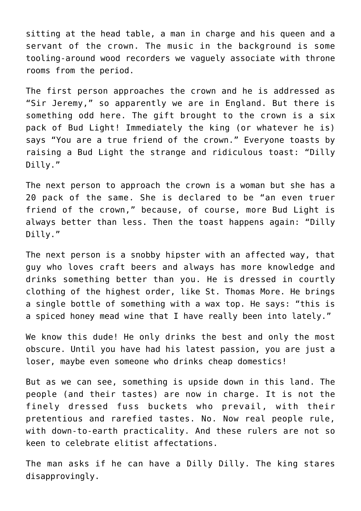sitting at the head table, a man in charge and his queen and a servant of the crown. The music in the background is some tooling-around wood recorders we vaguely associate with throne rooms from the period.

The first person approaches the crown and he is addressed as "Sir Jeremy," so apparently we are in England. But there is something odd here. The gift brought to the crown is a six pack of Bud Light! Immediately the king (or whatever he is) says "You are a true friend of the crown." Everyone toasts by raising a Bud Light the strange and ridiculous toast: "Dilly Dilly."

The next person to approach the crown is a woman but she has a 20 pack of the same. She is declared to be "an even truer friend of the crown," because, of course, more Bud Light is always better than less. Then the toast happens again: "Dilly Dilly."

The next person is a snobby hipster with an affected way, that guy who loves craft beers and always has more knowledge and drinks something better than you. He is dressed in courtly clothing of the highest order, like St. Thomas More. He brings a single bottle of something with a wax top. He says: "this is a spiced honey mead wine that I have really been into lately."

We know this dude! He only drinks the best and only the most obscure. Until you have had his latest passion, you are just a loser, maybe even someone who drinks cheap domestics!

But as we can see, something is upside down in this land. The people (and their tastes) are now in charge. It is not the finely dressed fuss buckets who prevail, with their pretentious and rarefied tastes. No. Now real people rule, with down-to-earth practicality. And these rulers are not so keen to celebrate elitist affectations.

The man asks if he can have a Dilly Dilly. The king stares disapprovingly.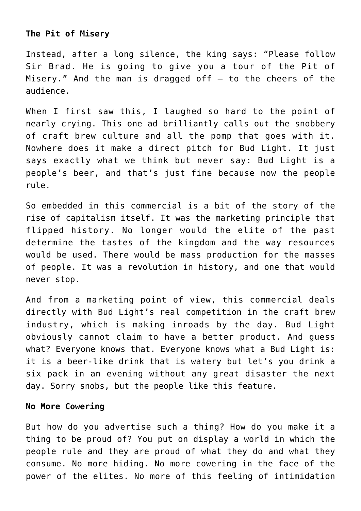## **The Pit of Misery**

Instead, after a long silence, the king says: "Please follow Sir Brad. He is going to give you a tour of the Pit of Misery." And the man is dragged off  $-$  to the cheers of the audience.

When I first saw this, I laughed so hard to the point of nearly crying. This one ad brilliantly calls out the snobbery of craft brew culture and all the pomp that goes with it. Nowhere does it make a direct pitch for Bud Light. It just says exactly what we think but never say: Bud Light is a people's beer, and that's just fine because now the people rule.

So embedded in this commercial is a bit of the story of the rise of capitalism itself. It was the marketing principle that flipped history. No longer would the elite of the past determine the tastes of the kingdom and the way resources would be used. There would be mass production for the masses of people. It was a revolution in history, and one that would never stop.

And from a marketing point of view, this commercial deals directly with Bud Light's real competition in the craft brew industry, which is making inroads by the day. Bud Light obviously cannot claim to have a better product. And guess what? Everyone knows that. Everyone knows what a Bud Light is: it is a beer-like drink that is watery but let's you drink a six pack in an evening without any great disaster the next day. Sorry snobs, but the people like this feature.

## **No More Cowering**

But how do you advertise such a thing? How do you make it a thing to be proud of? You put on display a world in which the people rule and they are proud of what they do and what they consume. No more hiding. No more cowering in the face of the power of the elites. No more of this feeling of intimidation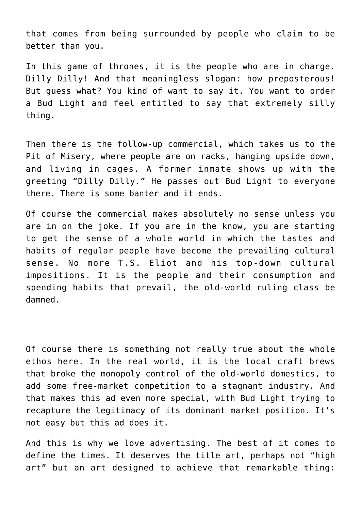that comes from being surrounded by people who claim to be better than you.

In this game of thrones, it is the people who are in charge. Dilly Dilly! And that meaningless slogan: how preposterous! But guess what? You kind of want to say it. You want to order a Bud Light and feel entitled to say that extremely silly thing.

Then there is the follow-up commercial, which takes us to the Pit of Misery, where people are on racks, hanging upside down, and living in cages. A former inmate shows up with the greeting "Dilly Dilly." He passes out Bud Light to everyone there. There is some banter and it ends.

Of course the commercial makes absolutely no sense unless you are in on the joke. If you are in the know, you are starting to get the sense of a whole world in which the tastes and habits of regular people have become the prevailing cultural sense. No more T.S. Eliot and his top-down cultural impositions. It is the people and their consumption and spending habits that prevail, the old-world ruling class be damned.

Of course there is something not really true about the whole ethos here. In the real world, it is the local craft brews that broke the monopoly control of the old-world domestics, to add some free-market competition to a stagnant industry. And that makes this ad even more special, with Bud Light trying to recapture the legitimacy of its dominant market position. It's not easy but this ad does it.

And this is why we love advertising. The best of it comes to define the times. It deserves the title art, perhaps not "high art" but an art designed to achieve that remarkable thing: